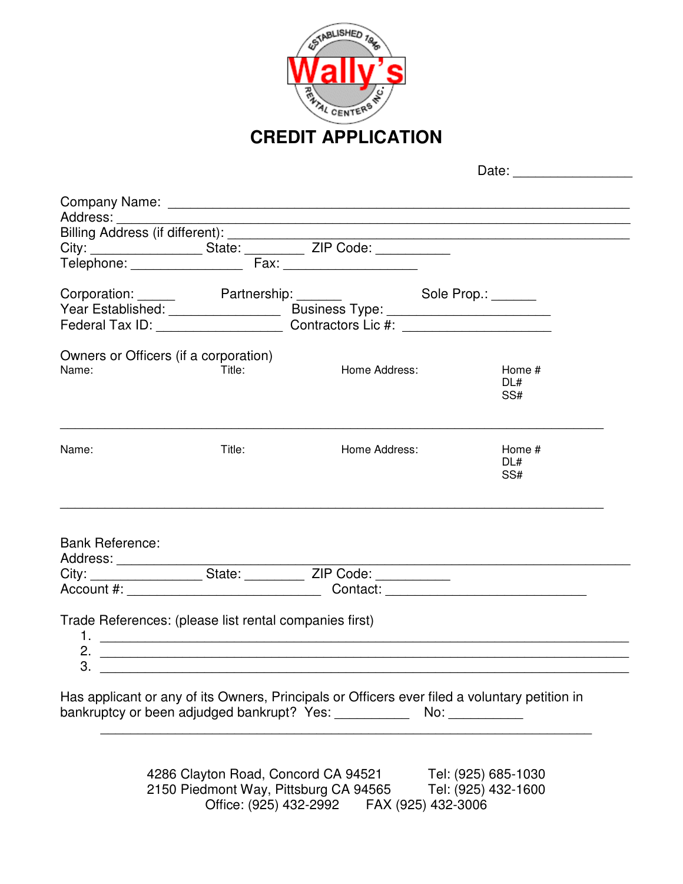

**CREDIT APPLICATION** 

Date:

|                                                              |        | Corporation: Partnership: Sole Prop.: Corporation:                                |                      |
|--------------------------------------------------------------|--------|-----------------------------------------------------------------------------------|----------------------|
|                                                              |        |                                                                                   |                      |
|                                                              |        | Federal Tax ID: _____________________________Contractors Lic #: _________________ |                      |
| Owners or Officers (if a corporation)                        |        |                                                                                   |                      |
| Name:                                                        | Title: | <b>Home Address:</b>                                                              | Home #<br>DL#<br>SS# |
| Name:                                                        | Title: | Home Address:                                                                     | Home #<br>DL#<br>SS# |
| <b>Bank Reference:</b>                                       |        |                                                                                   |                      |
|                                                              |        | City: State: ZIP Code:                                                            |                      |
|                                                              |        |                                                                                   |                      |
| Trade References: (please list rental companies first)<br>3. |        |                                                                                   |                      |

bankruptcy or been adjudged bankrupt? Yes: \_\_\_\_\_\_\_\_\_\_\_\_\_ No: \_\_\_\_\_\_\_\_\_\_\_\_

4286 Clayton Road, Concord CA 94521 Tel: (925) 685-1030 2150 Piedmont Way, Pittsburg CA 94565 Office: (925) 432-2992 FAX (925) 432-3006

 $\overline{\phantom{a}}$  , and the contribution of the contribution of the contribution of the contribution of the contribution of the contribution of the contribution of the contribution of the contribution of the contribution of the